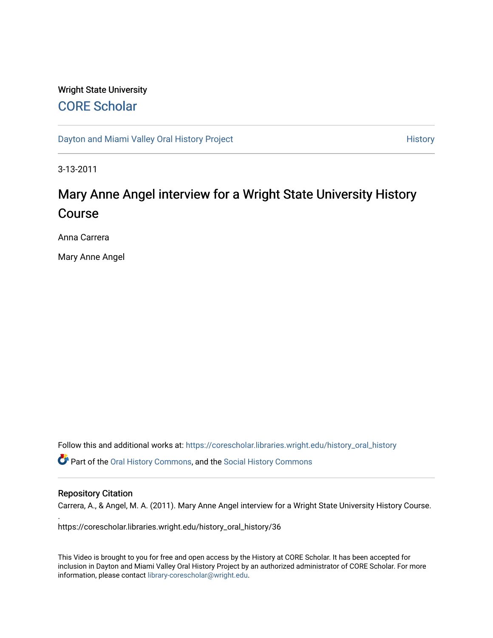# Wright State University [CORE Scholar](https://corescholar.libraries.wright.edu/)

[Dayton and Miami Valley Oral History Project](https://corescholar.libraries.wright.edu/history_oral_history) **History** History

3-13-2011

# Mary Anne Angel interview for a Wright State University History Course

Anna Carrera

Mary Anne Angel

Follow this and additional works at: [https://corescholar.libraries.wright.edu/history\\_oral\\_history](https://corescholar.libraries.wright.edu/history_oral_history?utm_source=corescholar.libraries.wright.edu%2Fhistory_oral_history%2F36&utm_medium=PDF&utm_campaign=PDFCoverPages) 

Part of the [Oral History Commons](http://network.bepress.com/hgg/discipline/1195?utm_source=corescholar.libraries.wright.edu%2Fhistory_oral_history%2F36&utm_medium=PDF&utm_campaign=PDFCoverPages), and the [Social History Commons](http://network.bepress.com/hgg/discipline/506?utm_source=corescholar.libraries.wright.edu%2Fhistory_oral_history%2F36&utm_medium=PDF&utm_campaign=PDFCoverPages)

#### Repository Citation

.

Carrera, A., & Angel, M. A. (2011). Mary Anne Angel interview for a Wright State University History Course.

https://corescholar.libraries.wright.edu/history\_oral\_history/36

This Video is brought to you for free and open access by the History at CORE Scholar. It has been accepted for inclusion in Dayton and Miami Valley Oral History Project by an authorized administrator of CORE Scholar. For more information, please contact [library-corescholar@wright.edu.](mailto:library-corescholar@wright.edu)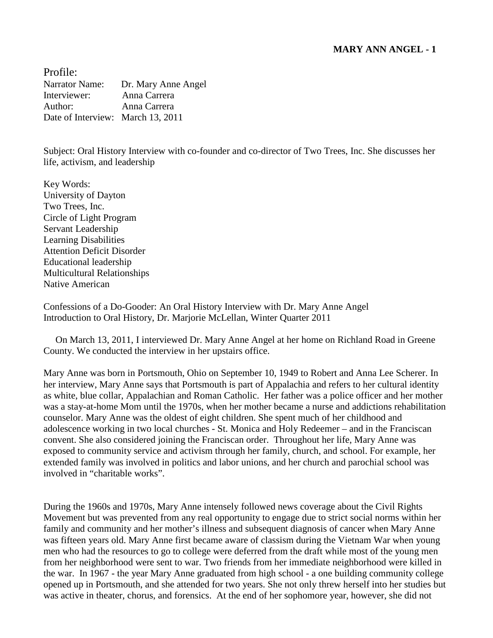Profile: Narrator Name: Dr. Mary Anne Angel Interviewer: Anna Carrera Author: Anna Carrera Date of Interview: March 13, 2011

Subject: Oral History Interview with co-founder and co-director of Two Trees, Inc. She discusses her life, activism, and leadership

Key Words: University of Dayton Two Trees, Inc. Circle of Light Program Servant Leadership Learning Disabilities Attention Deficit Disorder Educational leadership Multicultural Relationships Native American

Confessions of a Do-Gooder: An Oral History Interview with Dr. Mary Anne Angel Introduction to Oral History, Dr. Marjorie McLellan, Winter Quarter 2011

 On March 13, 2011, I interviewed Dr. Mary Anne Angel at her home on Richland Road in Greene County. We conducted the interview in her upstairs office.

Mary Anne was born in Portsmouth, Ohio on September 10, 1949 to Robert and Anna Lee Scherer. In her interview, Mary Anne says that Portsmouth is part of Appalachia and refers to her cultural identity as white, blue collar, Appalachian and Roman Catholic. Her father was a police officer and her mother was a stay-at-home Mom until the 1970s, when her mother became a nurse and addictions rehabilitation counselor. Mary Anne was the oldest of eight children. She spent much of her childhood and adolescence working in two local churches - St. Monica and Holy Redeemer – and in the Franciscan convent. She also considered joining the Franciscan order. Throughout her life, Mary Anne was exposed to community service and activism through her family, church, and school. For example, her extended family was involved in politics and labor unions, and her church and parochial school was involved in "charitable works".

During the 1960s and 1970s, Mary Anne intensely followed news coverage about the Civil Rights Movement but was prevented from any real opportunity to engage due to strict social norms within her family and community and her mother's illness and subsequent diagnosis of cancer when Mary Anne was fifteen years old. Mary Anne first became aware of classism during the Vietnam War when young men who had the resources to go to college were deferred from the draft while most of the young men from her neighborhood were sent to war. Two friends from her immediate neighborhood were killed in the war. In 1967 - the year Mary Anne graduated from high school - a one building community college opened up in Portsmouth, and she attended for two years. She not only threw herself into her studies but was active in theater, chorus, and forensics. At the end of her sophomore year, however, she did not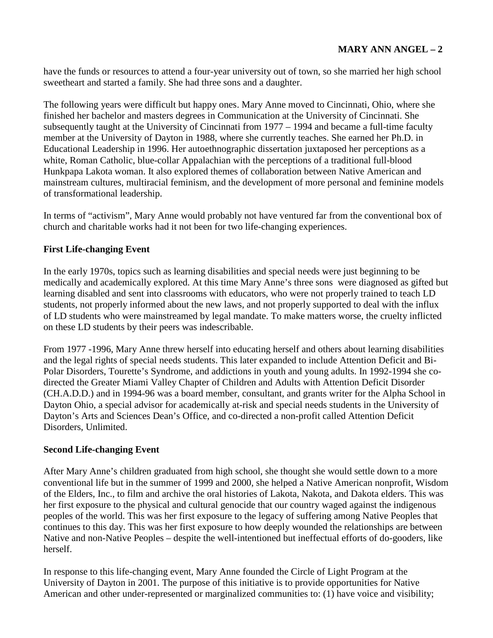have the funds or resources to attend a four-year university out of town, so she married her high school sweetheart and started a family. She had three sons and a daughter.

The following years were difficult but happy ones. Mary Anne moved to Cincinnati, Ohio, where she finished her bachelor and masters degrees in Communication at the University of Cincinnati. She subsequently taught at the University of Cincinnati from 1977 – 1994 and became a full-time faculty member at the University of Dayton in 1988, where she currently teaches. She earned her Ph.D. in Educational Leadership in 1996. Her autoethnographic dissertation juxtaposed her perceptions as a white, Roman Catholic, blue-collar Appalachian with the perceptions of a traditional full-blood Hunkpapa Lakota woman. It also explored themes of collaboration between Native American and mainstream cultures, multiracial feminism, and the development of more personal and feminine models of transformational leadership.

In terms of "activism", Mary Anne would probably not have ventured far from the conventional box of church and charitable works had it not been for two life-changing experiences.

# **First Life-changing Event**

In the early 1970s, topics such as learning disabilities and special needs were just beginning to be medically and academically explored. At this time Mary Anne's three sons were diagnosed as gifted but learning disabled and sent into classrooms with educators, who were not properly trained to teach LD students, not properly informed about the new laws, and not properly supported to deal with the influx of LD students who were mainstreamed by legal mandate. To make matters worse, the cruelty inflicted on these LD students by their peers was indescribable.

From 1977 -1996, Mary Anne threw herself into educating herself and others about learning disabilities and the legal rights of special needs students. This later expanded to include Attention Deficit and Bi-Polar Disorders, Tourette's Syndrome, and addictions in youth and young adults. In 1992-1994 she codirected the Greater Miami Valley Chapter of Children and Adults with Attention Deficit Disorder (CH.A.D.D.) and in 1994-96 was a board member, consultant, and grants writer for the Alpha School in Dayton Ohio, a special advisor for academically at-risk and special needs students in the University of Dayton's Arts and Sciences Dean's Office, and co-directed a non-profit called Attention Deficit Disorders, Unlimited.

# **Second Life-changing Event**

After Mary Anne's children graduated from high school, she thought she would settle down to a more conventional life but in the summer of 1999 and 2000, she helped a Native American nonprofit, Wisdom of the Elders, Inc., to film and archive the oral histories of Lakota, Nakota, and Dakota elders. This was her first exposure to the physical and cultural genocide that our country waged against the indigenous peoples of the world. This was her first exposure to the legacy of suffering among Native Peoples that continues to this day. This was her first exposure to how deeply wounded the relationships are between Native and non-Native Peoples – despite the well-intentioned but ineffectual efforts of do-gooders, like herself.

In response to this life-changing event, Mary Anne founded the Circle of Light Program at the University of Dayton in 2001. The purpose of this initiative is to provide opportunities for Native American and other under-represented or marginalized communities to: (1) have voice and visibility;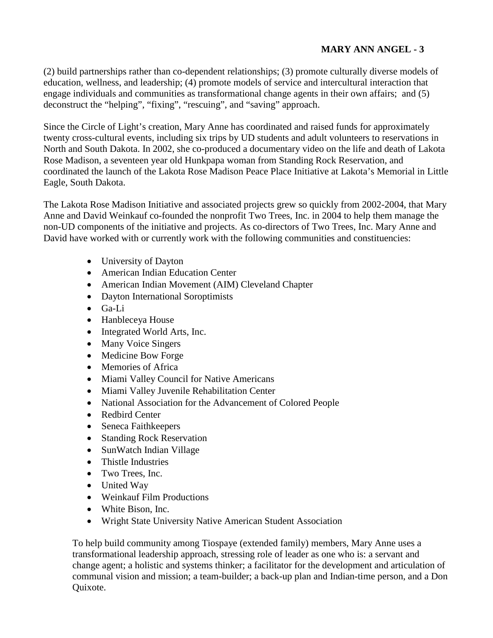# **MARY ANN ANGEL - 3**

(2) build partnerships rather than co-dependent relationships; (3) promote culturally diverse models of education, wellness, and leadership; (4) promote models of service and intercultural interaction that engage individuals and communities as transformational change agents in their own affairs; and (5) deconstruct the "helping", "fixing", "rescuing", and "saving" approach.

Since the Circle of Light's creation, Mary Anne has coordinated and raised funds for approximately twenty cross-cultural events, including six trips by UD students and adult volunteers to reservations in North and South Dakota. In 2002, she co-produced a documentary video on the life and death of Lakota Rose Madison, a seventeen year old Hunkpapa woman from Standing Rock Reservation, and coordinated the launch of the Lakota Rose Madison Peace Place Initiative at Lakota's Memorial in Little Eagle, South Dakota.

The Lakota Rose Madison Initiative and associated projects grew so quickly from 2002-2004, that Mary Anne and David Weinkauf co-founded the nonprofit Two Trees, Inc. in 2004 to help them manage the non-UD components of the initiative and projects. As co-directors of Two Trees, Inc. Mary Anne and David have worked with or currently work with the following communities and constituencies:

- University of Dayton
- American Indian Education Center
- American Indian Movement (AIM) Cleveland Chapter
- Dayton International Soroptimists
- $\bullet$  Ga-Li
- Hanbleceya House
- Integrated World Arts, Inc.
- Many Voice Singers
- Medicine Bow Forge
- Memories of Africa
- Miami Valley Council for Native Americans
- Miami Valley Juvenile Rehabilitation Center
- National Association for the Advancement of Colored People
- Redbird Center
- Seneca Faithkeepers
- Standing Rock Reservation
- SunWatch Indian Village
- Thistle Industries
- Two Trees, Inc.
- United Way
- Weinkauf Film Productions
- White Bison, Inc.
- Wright State University Native American Student Association

To help build community among Tiospaye (extended family) members, Mary Anne uses a transformational leadership approach, stressing role of leader as one who is: a servant and change agent; a holistic and systems thinker; a facilitator for the development and articulation of communal vision and mission; a team-builder; a back-up plan and Indian-time person, and a Don Quixote.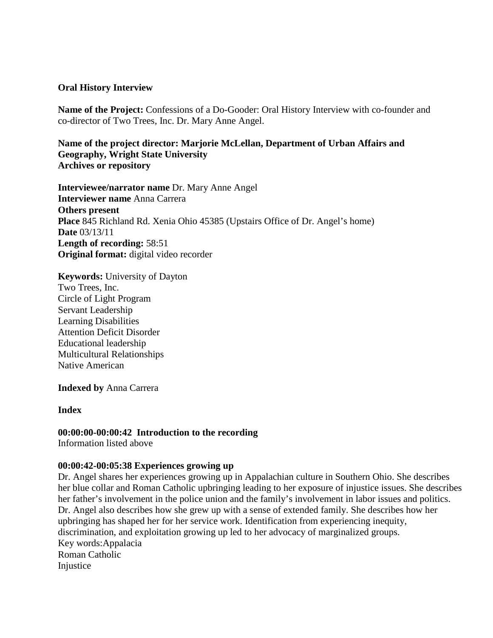### **Oral History Interview**

**Name of the Project:** Confessions of a Do-Gooder: Oral History Interview with co-founder and co-director of Two Trees, Inc. Dr. Mary Anne Angel.

**Name of the project director: Marjorie McLellan, Department of Urban Affairs and Geography, Wright State University Archives or repository**

**Interviewee/narrator name** Dr. Mary Anne Angel **Interviewer name** Anna Carrera **Others present Place** 845 Richland Rd. Xenia Ohio 45385 (Upstairs Office of Dr. Angel's home) **Date** 03/13/11 **Length of recording:** 58:51 **Original format:** digital video recorder

**Keywords:** University of Dayton Two Trees, Inc. Circle of Light Program Servant Leadership Learning Disabilities Attention Deficit Disorder Educational leadership Multicultural Relationships Native American

**Indexed by** Anna Carrera

**Index**

#### **00:00:00-00:00:42 Introduction to the recording**

Information listed above

#### **00:00:42-00:05:38 Experiences growing up**

Dr. Angel shares her experiences growing up in Appalachian culture in Southern Ohio. She describes her blue collar and Roman Catholic upbringing leading to her exposure of injustice issues. She describes her father's involvement in the police union and the family's involvement in labor issues and politics. Dr. Angel also describes how she grew up with a sense of extended family. She describes how her upbringing has shaped her for her service work. Identification from experiencing inequity, discrimination, and exploitation growing up led to her advocacy of marginalized groups. Key words:Appalacia Roman Catholic Injustice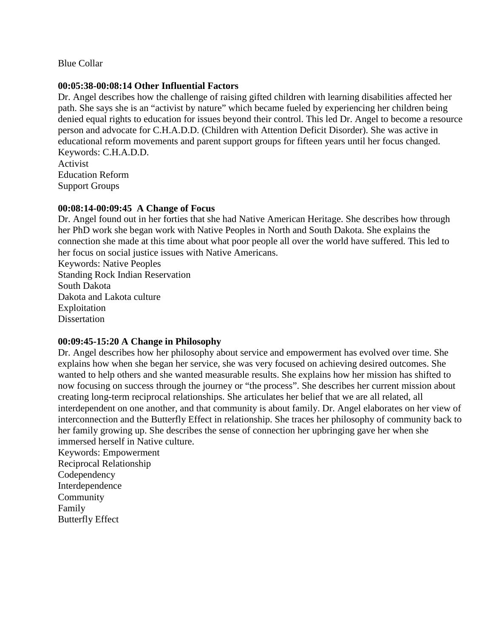Blue Collar

### **00:05:38-00:08:14 Other Influential Factors**

Dr. Angel describes how the challenge of raising gifted children with learning disabilities affected her path. She says she is an "activist by nature" which became fueled by experiencing her children being denied equal rights to education for issues beyond their control. This led Dr. Angel to become a resource person and advocate for C.H.A.D.D. (Children with Attention Deficit Disorder). She was active in educational reform movements and parent support groups for fifteen years until her focus changed. Keywords: C.H.A.D.D.

Activist Education Reform Support Groups

# **00:08:14-00:09:45 A Change of Focus**

Dr. Angel found out in her forties that she had Native American Heritage. She describes how through her PhD work she began work with Native Peoples in North and South Dakota. She explains the connection she made at this time about what poor people all over the world have suffered. This led to her focus on social justice issues with Native Americans.

Keywords: Native Peoples Standing Rock Indian Reservation South Dakota Dakota and Lakota culture Exploitation **Dissertation** 

# **00:09:45-15:20 A Change in Philosophy**

Dr. Angel describes how her philosophy about service and empowerment has evolved over time. She explains how when she began her service, she was very focused on achieving desired outcomes. She wanted to help others and she wanted measurable results. She explains how her mission has shifted to now focusing on success through the journey or "the process". She describes her current mission about creating long-term reciprocal relationships. She articulates her belief that we are all related, all interdependent on one another, and that community is about family. Dr. Angel elaborates on her view of interconnection and the Butterfly Effect in relationship. She traces her philosophy of community back to her family growing up. She describes the sense of connection her upbringing gave her when she immersed herself in Native culture.

Keywords: Empowerment Reciprocal Relationship Codependency Interdependence Community Family Butterfly Effect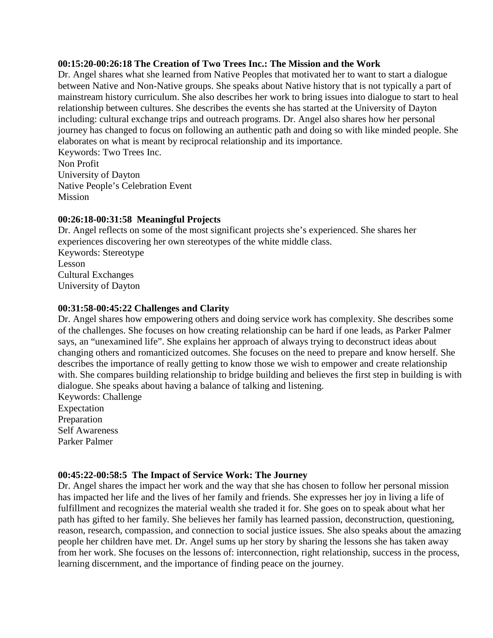### **00:15:20-00:26:18 The Creation of Two Trees Inc.: The Mission and the Work**

Dr. Angel shares what she learned from Native Peoples that motivated her to want to start a dialogue between Native and Non-Native groups. She speaks about Native history that is not typically a part of mainstream history curriculum. She also describes her work to bring issues into dialogue to start to heal relationship between cultures. She describes the events she has started at the University of Dayton including: cultural exchange trips and outreach programs. Dr. Angel also shares how her personal journey has changed to focus on following an authentic path and doing so with like minded people. She elaborates on what is meant by reciprocal relationship and its importance.

Keywords: Two Trees Inc. Non Profit University of Dayton Native People's Celebration Event **Mission** 

# **00:26:18-00:31:58 Meaningful Projects**

Dr. Angel reflects on some of the most significant projects she's experienced. She shares her experiences discovering her own stereotypes of the white middle class. Keywords: Stereotype Lesson Cultural Exchanges University of Dayton

# **00:31:58-00:45:22 Challenges and Clarity**

Dr. Angel shares how empowering others and doing service work has complexity. She describes some of the challenges. She focuses on how creating relationship can be hard if one leads, as Parker Palmer says, an "unexamined life". She explains her approach of always trying to deconstruct ideas about changing others and romanticized outcomes. She focuses on the need to prepare and know herself. She describes the importance of really getting to know those we wish to empower and create relationship with. She compares building relationship to bridge building and believes the first step in building is with dialogue. She speaks about having a balance of talking and listening. Keywords: Challenge

Expectation Preparation Self Awareness Parker Palmer

# **00:45:22-00:58:5 The Impact of Service Work: The Journey**

Dr. Angel shares the impact her work and the way that she has chosen to follow her personal mission has impacted her life and the lives of her family and friends. She expresses her joy in living a life of fulfillment and recognizes the material wealth she traded it for. She goes on to speak about what her path has gifted to her family. She believes her family has learned passion, deconstruction, questioning, reason, research, compassion, and connection to social justice issues. She also speaks about the amazing people her children have met. Dr. Angel sums up her story by sharing the lessons she has taken away from her work. She focuses on the lessons of: interconnection, right relationship, success in the process, learning discernment, and the importance of finding peace on the journey.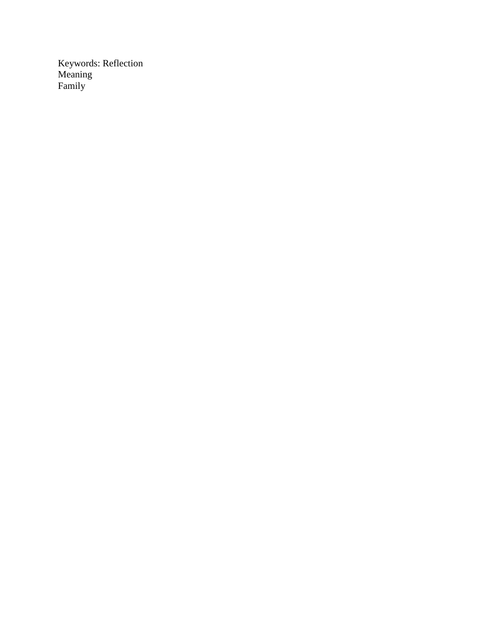Keywords: Reflection Meaning Family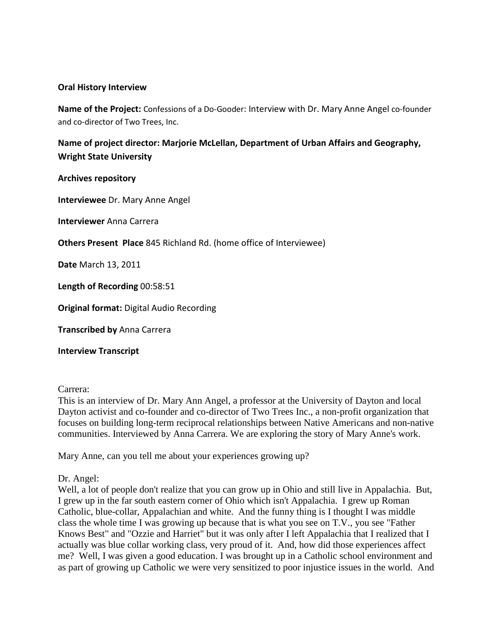### **Oral History Interview**

**Name of the Project:** Confessions of a Do-Gooder: Interview with Dr. Mary Anne Angel co-founder and co-director of Two Trees, Inc.

**Name of project director: Marjorie McLellan, Department of Urban Affairs and Geography, Wright State University** 

**Archives repository**

**Interviewee** Dr. Mary Anne Angel

**Interviewer** Anna Carrera

**Others Present Place** 845 Richland Rd. (home office of Interviewee)

**Date** March 13, 2011

**Length of Recording** 00:58:51

**Original format:** Digital Audio Recording

**Transcribed by** Anna Carrera

**Interview Transcript**

### Carrera: **Carrera: Carrera: Carrera: Carrera: Carrera: Carrera: Carrera: Carrera: Carrera: Carrera: Carrera: Carrera: Carrera: Carrera: Carrera: Carrera: Carrera: Carrera: Carrera: Car**

This is an interview of Dr. Mary Ann Angel, a professor at the University of Dayton and local Dayton activist and co-founder and co-director of Two Trees Inc., a non-profit organization that focuses on building long-term reciprocal relationships between Native Americans and non-native communities. Interviewed by Anna Carrera. We are exploring the story of Mary Anne's work.

Mary Anne, can you tell me about your experiences growing up?

# Dr. Angel:

Well, a lot of people don't realize that you can grow up in Ohio and still live in Appalachia. But, I grew up in the far south eastern corner of Ohio which isn't Appalachia. I grew up Roman Catholic, blue-collar, Appalachian and white. And the funny thing is I thought I was middle class the whole time I was growing up because that is what you see on T.V., you see "Father Knows Best" and "Ozzie and Harriet" but it was only after I left Appalachia that I realized that I actually was blue collar working class, very proud of it. And, how did those experiences affect me? Well, I was given a good education. I was brought up in a Catholic school environment and as part of growing up Catholic we were very sensitized to poor injustice issues in the world. And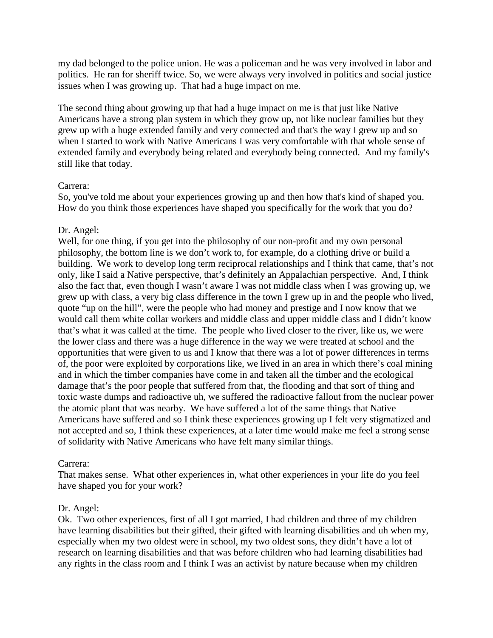my dad belonged to the police union. He was a policeman and he was very involved in labor and politics. He ran for sheriff twice. So, we were always very involved in politics and social justice issues when I was growing up. That had a huge impact on me.

The second thing about growing up that had a huge impact on me is that just like Native Americans have a strong plan system in which they grow up, not like nuclear families but they grew up with a huge extended family and very connected and that's the way I grew up and so when I started to work with Native Americans I was very comfortable with that whole sense of extended family and everybody being related and everybody being connected. And my family's still like that today.

# Carrera:

So, you've told me about your experiences growing up and then how that's kind of shaped you. How do you think those experiences have shaped you specifically for the work that you do?

# Dr. Angel:

Well, for one thing, if you get into the philosophy of our non-profit and my own personal philosophy, the bottom line is we don't work to, for example, do a clothing drive or build a building. We work to develop long term reciprocal relationships and I think that came, that's not only, like I said a Native perspective, that's definitely an Appalachian perspective. And, I think also the fact that, even though I wasn't aware I was not middle class when I was growing up, we grew up with class, a very big class difference in the town I grew up in and the people who lived, quote "up on the hill", were the people who had money and prestige and I now know that we would call them white collar workers and middle class and upper middle class and I didn't know that's what it was called at the time. The people who lived closer to the river, like us, we were the lower class and there was a huge difference in the way we were treated at school and the opportunities that were given to us and I know that there was a lot of power differences in terms of, the poor were exploited by corporations like, we lived in an area in which there's coal mining and in which the timber companies have come in and taken all the timber and the ecological damage that's the poor people that suffered from that, the flooding and that sort of thing and toxic waste dumps and radioactive uh, we suffered the radioactive fallout from the nuclear power the atomic plant that was nearby. We have suffered a lot of the same things that Native Americans have suffered and so I think these experiences growing up I felt very stigmatized and not accepted and so, I think these experiences, at a later time would make me feel a strong sense of solidarity with Native Americans who have felt many similar things.

# Carrera:

That makes sense. What other experiences in, what other experiences in your life do you feel have shaped you for your work?

# Dr. Angel:

Ok. Two other experiences, first of all I got married, I had children and three of my children have learning disabilities but their gifted, their gifted with learning disabilities and uh when my, especially when my two oldest were in school, my two oldest sons, they didn't have a lot of research on learning disabilities and that was before children who had learning disabilities had any rights in the class room and I think I was an activist by nature because when my children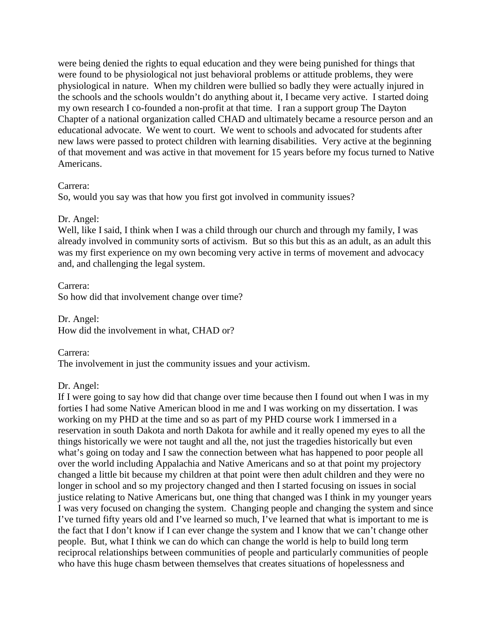were being denied the rights to equal education and they were being punished for things that were found to be physiological not just behavioral problems or attitude problems, they were physiological in nature. When my children were bullied so badly they were actually injured in the schools and the schools wouldn't do anything about it, I became very active. I started doing my own research I co-founded a non-profit at that time. I ran a support group The Dayton Chapter of a national organization called CHAD and ultimately became a resource person and an educational advocate. We went to court. We went to schools and advocated for students after new laws were passed to protect children with learning disabilities. Very active at the beginning of that movement and was active in that movement for 15 years before my focus turned to Native Americans.

# Carrera:

So, would you say was that how you first got involved in community issues?

# Dr. Angel:

Well, like I said, I think when I was a child through our church and through my family, I was already involved in community sorts of activism. But so this but this as an adult, as an adult this was my first experience on my own becoming very active in terms of movement and advocacy and, and challenging the legal system.

# Carrera: **Carrera: Carrera: Carrera: Carrera: Carrera: Carrera: Carrera: Carrera: Carrera: Carrera: Carrera: Carrera: Carrera: Carrera: Carrera: Carrera: Carrera: Carrera: Carrera: Car**

So how did that involvement change over time?

Dr. Angel: How did the involvement in what, CHAD or?

Carrera: The involvement in just the community issues and your activism.

# Dr. Angel:

If I were going to say how did that change over time because then I found out when I was in my forties I had some Native American blood in me and I was working on my dissertation. I was working on my PHD at the time and so as part of my PHD course work I immersed in a reservation in south Dakota and north Dakota for awhile and it really opened my eyes to all the things historically we were not taught and all the, not just the tragedies historically but even what's going on today and I saw the connection between what has happened to poor people all over the world including Appalachia and Native Americans and so at that point my projectory changed a little bit because my children at that point were then adult children and they were no longer in school and so my projectory changed and then I started focusing on issues in social justice relating to Native Americans but, one thing that changed was I think in my younger years I was very focused on changing the system. Changing people and changing the system and since I've turned fifty years old and I've learned so much, I've learned that what is important to me is the fact that I don't know if I can ever change the system and I know that we can't change other people. But, what I think we can do which can change the world is help to build long term reciprocal relationships between communities of people and particularly communities of people who have this huge chasm between themselves that creates situations of hopelessness and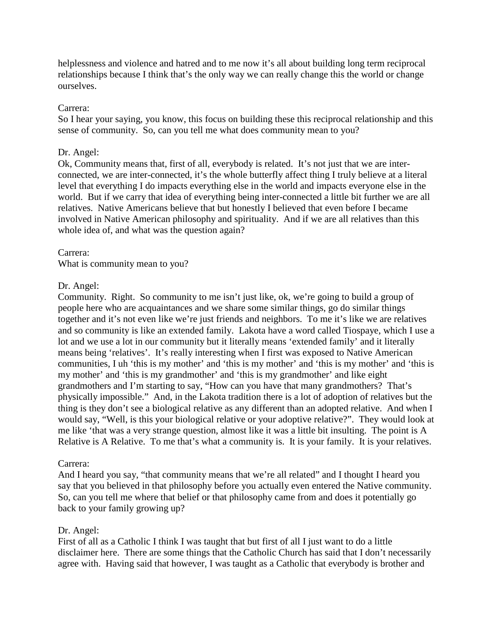helplessness and violence and hatred and to me now it's all about building long term reciprocal relationships because I think that's the only way we can really change this the world or change ourselves.

# Carrera:

So I hear your saying, you know, this focus on building these this reciprocal relationship and this sense of community. So, can you tell me what does community mean to you?

# Dr. Angel:

Ok, Community means that, first of all, everybody is related. It's not just that we are interconnected, we are inter-connected, it's the whole butterfly affect thing I truly believe at a literal level that everything I do impacts everything else in the world and impacts everyone else in the world. But if we carry that idea of everything being inter-connected a little bit further we are all relatives. Native Americans believe that but honestly I believed that even before I became involved in Native American philosophy and spirituality. And if we are all relatives than this whole idea of, and what was the question again?

# Carrera:

What is community mean to you?

# Dr. Angel:

Community. Right. So community to me isn't just like, ok, we're going to build a group of people here who are acquaintances and we share some similar things, go do similar things together and it's not even like we're just friends and neighbors. To me it's like we are relatives and so community is like an extended family. Lakota have a word called Tiospaye, which I use a lot and we use a lot in our community but it literally means 'extended family' and it literally means being 'relatives'. It's really interesting when I first was exposed to Native American communities, I uh 'this is my mother' and 'this is my mother' and 'this is my mother' and 'this is my mother' and 'this is my grandmother' and 'this is my grandmother' and like eight grandmothers and I'm starting to say, "How can you have that many grandmothers? That's physically impossible." And, in the Lakota tradition there is a lot of adoption of relatives but the thing is they don't see a biological relative as any different than an adopted relative. And when I would say, "Well, is this your biological relative or your adoptive relative?". They would look at me like 'that was a very strange question, almost like it was a little bit insulting. The point is A Relative is A Relative. To me that's what a community is. It is your family. It is your relatives.

# Carrera:

And I heard you say, "that community means that we're all related" and I thought I heard you say that you believed in that philosophy before you actually even entered the Native community. So, can you tell me where that belief or that philosophy came from and does it potentially go back to your family growing up?

# Dr. Angel:

First of all as a Catholic I think I was taught that but first of all I just want to do a little disclaimer here. There are some things that the Catholic Church has said that I don't necessarily agree with. Having said that however, I was taught as a Catholic that everybody is brother and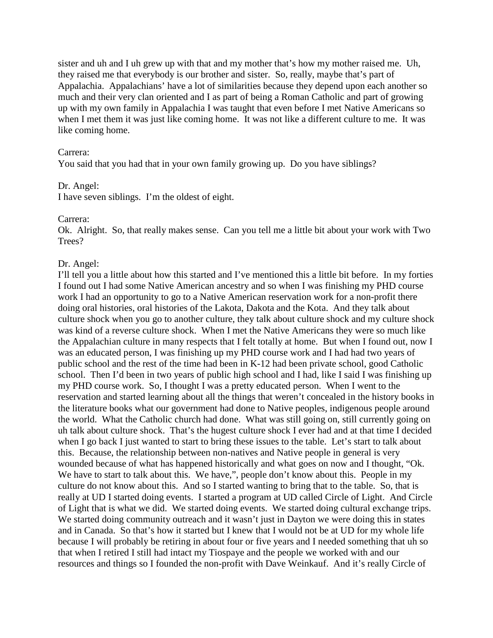sister and uh and I uh grew up with that and my mother that's how my mother raised me. Uh, they raised me that everybody is our brother and sister. So, really, maybe that's part of Appalachia. Appalachians' have a lot of similarities because they depend upon each another so much and their very clan oriented and I as part of being a Roman Catholic and part of growing up with my own family in Appalachia I was taught that even before I met Native Americans so when I met them it was just like coming home. It was not like a different culture to me. It was like coming home.

#### Carrera:

You said that you had that in your own family growing up. Do you have siblings?

#### Dr. Angel:

I have seven siblings. I'm the oldest of eight.

#### Carrera:

Ok. Alright. So, that really makes sense. Can you tell me a little bit about your work with Two Trees?

#### Dr. Angel:

I'll tell you a little about how this started and I've mentioned this a little bit before. In my forties I found out I had some Native American ancestry and so when I was finishing my PHD course work I had an opportunity to go to a Native American reservation work for a non-profit there doing oral histories, oral histories of the Lakota, Dakota and the Kota. And they talk about culture shock when you go to another culture, they talk about culture shock and my culture shock was kind of a reverse culture shock. When I met the Native Americans they were so much like the Appalachian culture in many respects that I felt totally at home. But when I found out, now I was an educated person, I was finishing up my PHD course work and I had had two years of public school and the rest of the time had been in K-12 had been private school, good Catholic school. Then I'd been in two years of public high school and I had, like I said I was finishing up my PHD course work. So, I thought I was a pretty educated person. When I went to the reservation and started learning about all the things that weren't concealed in the history books in the literature books what our government had done to Native peoples, indigenous people around the world. What the Catholic church had done. What was still going on, still currently going on uh talk about culture shock. That's the hugest culture shock I ever had and at that time I decided when I go back I just wanted to start to bring these issues to the table. Let's start to talk about this. Because, the relationship between non-natives and Native people in general is very wounded because of what has happened historically and what goes on now and I thought, "Ok. We have to start to talk about this. We have,", people don't know about this. People in my culture do not know about this. And so I started wanting to bring that to the table. So, that is really at UD I started doing events. I started a program at UD called Circle of Light. And Circle of Light that is what we did. We started doing events. We started doing cultural exchange trips. We started doing community outreach and it wasn't just in Dayton we were doing this in states and in Canada. So that's how it started but I knew that I would not be at UD for my whole life because I will probably be retiring in about four or five years and I needed something that uh so that when I retired I still had intact my Tiospaye and the people we worked with and our resources and things so I founded the non-profit with Dave Weinkauf. And it's really Circle of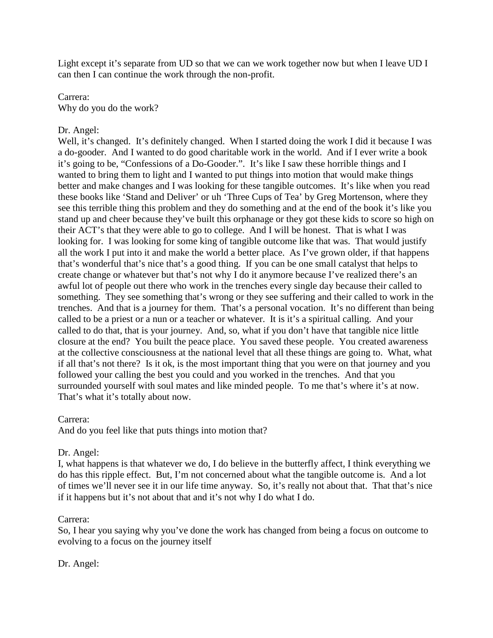Light except it's separate from UD so that we can we work together now but when I leave UD I can then I can continue the work through the non-profit.

# Carrera: Why do you do the work?

# Dr. Angel:

Well, it's changed. It's definitely changed. When I started doing the work I did it because I was a do-gooder. And I wanted to do good charitable work in the world. And if I ever write a book it's going to be, "Confessions of a Do-Gooder.". It's like I saw these horrible things and I wanted to bring them to light and I wanted to put things into motion that would make things better and make changes and I was looking for these tangible outcomes. It's like when you read these books like 'Stand and Deliver' or uh 'Three Cups of Tea' by Greg Mortenson, where they see this terrible thing this problem and they do something and at the end of the book it's like you stand up and cheer because they've built this orphanage or they got these kids to score so high on their ACT's that they were able to go to college. And I will be honest. That is what I was looking for. I was looking for some king of tangible outcome like that was. That would justify all the work I put into it and make the world a better place. As I've grown older, if that happens that's wonderful that's nice that's a good thing. If you can be one small catalyst that helps to create change or whatever but that's not why I do it anymore because I've realized there's an awful lot of people out there who work in the trenches every single day because their called to something. They see something that's wrong or they see suffering and their called to work in the trenches. And that is a journey for them. That's a personal vocation. It's no different than being called to be a priest or a nun or a teacher or whatever. It is it's a spiritual calling. And your called to do that, that is your journey. And, so, what if you don't have that tangible nice little closure at the end? You built the peace place. You saved these people. You created awareness at the collective consciousness at the national level that all these things are going to. What, what if all that's not there? Is it ok, is the most important thing that you were on that journey and you followed your calling the best you could and you worked in the trenches. And that you surrounded yourself with soul mates and like minded people. To me that's where it's at now. That's what it's totally about now.

# Carrera:

And do you feel like that puts things into motion that?

# Dr. Angel:

I, what happens is that whatever we do, I do believe in the butterfly affect, I think everything we do has this ripple effect. But, I'm not concerned about what the tangible outcome is. And a lot of times we'll never see it in our life time anyway. So, it's really not about that. That that's nice if it happens but it's not about that and it's not why I do what I do.

# Carrera:

So, I hear you saying why you've done the work has changed from being a focus on outcome to evolving to a focus on the journey itself

Dr. Angel: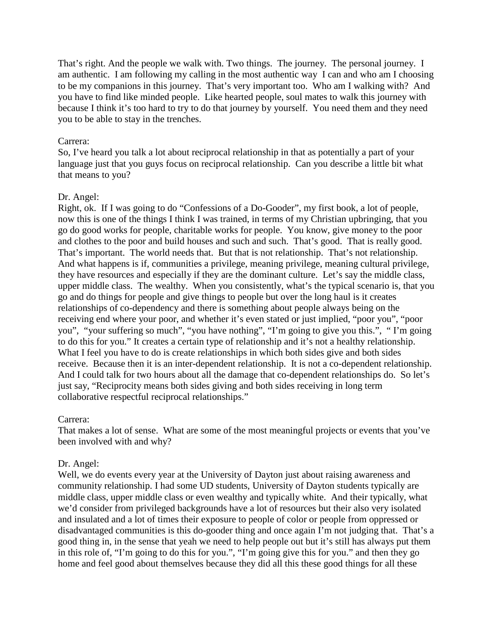That's right. And the people we walk with. Two things. The journey. The personal journey. I am authentic. I am following my calling in the most authentic way I can and who am I choosing to be my companions in this journey. That's very important too. Who am I walking with? And you have to find like minded people. Like hearted people, soul mates to walk this journey with because I think it's too hard to try to do that journey by yourself. You need them and they need you to be able to stay in the trenches.

### Carrera:

So, I've heard you talk a lot about reciprocal relationship in that as potentially a part of your language just that you guys focus on reciprocal relationship. Can you describe a little bit what that means to you?

# Dr. Angel:

Right, ok. If I was going to do "Confessions of a Do-Gooder", my first book, a lot of people, now this is one of the things I think I was trained, in terms of my Christian upbringing, that you go do good works for people, charitable works for people. You know, give money to the poor and clothes to the poor and build houses and such and such. That's good. That is really good. That's important. The world needs that. But that is not relationship. That's not relationship. And what happens is if, communities a privilege, meaning privilege, meaning cultural privilege, they have resources and especially if they are the dominant culture. Let's say the middle class, upper middle class. The wealthy. When you consistently, what's the typical scenario is, that you go and do things for people and give things to people but over the long haul is it creates relationships of co-dependency and there is something about people always being on the receiving end where your poor, and whether it's even stated or just implied, "poor you", "poor you", "your suffering so much", "you have nothing", "I'm going to give you this.", " I'm going to do this for you." It creates a certain type of relationship and it's not a healthy relationship. What I feel you have to do is create relationships in which both sides give and both sides receive. Because then it is an inter-dependent relationship. It is not a co-dependent relationship. And I could talk for two hours about all the damage that co-dependent relationships do. So let's just say, "Reciprocity means both sides giving and both sides receiving in long term collaborative respectful reciprocal relationships."

# Carrera:

That makes a lot of sense. What are some of the most meaningful projects or events that you've been involved with and why?

# Dr. Angel:

Well, we do events every year at the University of Dayton just about raising awareness and community relationship. I had some UD students, University of Dayton students typically are middle class, upper middle class or even wealthy and typically white. And their typically, what we'd consider from privileged backgrounds have a lot of resources but their also very isolated and insulated and a lot of times their exposure to people of color or people from oppressed or disadvantaged communities is this do-gooder thing and once again I'm not judging that. That's a good thing in, in the sense that yeah we need to help people out but it's still has always put them in this role of, "I'm going to do this for you.", "I'm going give this for you." and then they go home and feel good about themselves because they did all this these good things for all these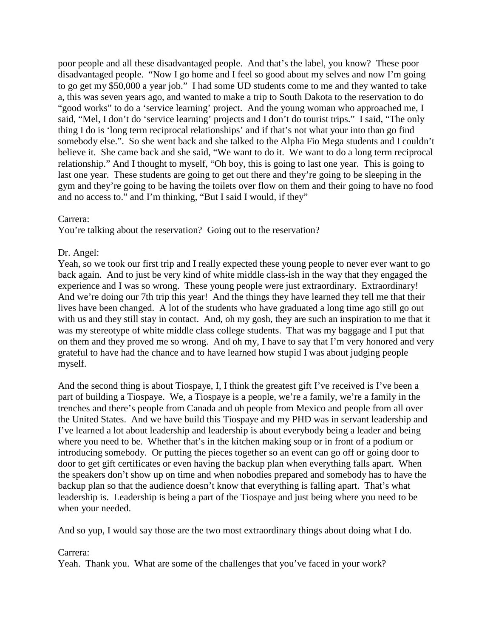poor people and all these disadvantaged people. And that's the label, you know? These poor disadvantaged people. "Now I go home and I feel so good about my selves and now I'm going to go get my \$50,000 a year job." I had some UD students come to me and they wanted to take a, this was seven years ago, and wanted to make a trip to South Dakota to the reservation to do "good works" to do a 'service learning' project. And the young woman who approached me, I said, "Mel, I don't do 'service learning' projects and I don't do tourist trips." I said, "The only thing I do is 'long term reciprocal relationships' and if that's not what your into than go find somebody else.". So she went back and she talked to the Alpha Fio Mega students and I couldn't believe it. She came back and she said, "We want to do it. We want to do a long term reciprocal relationship." And I thought to myself, "Oh boy, this is going to last one year. This is going to last one year. These students are going to get out there and they're going to be sleeping in the gym and they're going to be having the toilets over flow on them and their going to have no food and no access to." and I'm thinking, "But I said I would, if they"

# Carrera:

You're talking about the reservation? Going out to the reservation?

# Dr. Angel:

Yeah, so we took our first trip and I really expected these young people to never ever want to go back again. And to just be very kind of white middle class-ish in the way that they engaged the experience and I was so wrong. These young people were just extraordinary. Extraordinary! And we're doing our 7th trip this year! And the things they have learned they tell me that their lives have been changed. A lot of the students who have graduated a long time ago still go out with us and they still stay in contact. And, oh my gosh, they are such an inspiration to me that it was my stereotype of white middle class college students. That was my baggage and I put that on them and they proved me so wrong. And oh my, I have to say that I'm very honored and very grateful to have had the chance and to have learned how stupid I was about judging people myself.

And the second thing is about Tiospaye, I, I think the greatest gift I've received is I've been a part of building a Tiospaye. We, a Tiospaye is a people, we're a family, we're a family in the trenches and there's people from Canada and uh people from Mexico and people from all over the United States. And we have build this Tiospaye and my PHD was in servant leadership and I've learned a lot about leadership and leadership is about everybody being a leader and being where you need to be. Whether that's in the kitchen making soup or in front of a podium or introducing somebody. Or putting the pieces together so an event can go off or going door to door to get gift certificates or even having the backup plan when everything falls apart. When the speakers don't show up on time and when nobodies prepared and somebody has to have the backup plan so that the audience doesn't know that everything is falling apart. That's what leadership is. Leadership is being a part of the Tiospaye and just being where you need to be when your needed.

And so yup, I would say those are the two most extraordinary things about doing what I do.

# Carrera:

Yeah. Thank you. What are some of the challenges that you've faced in your work?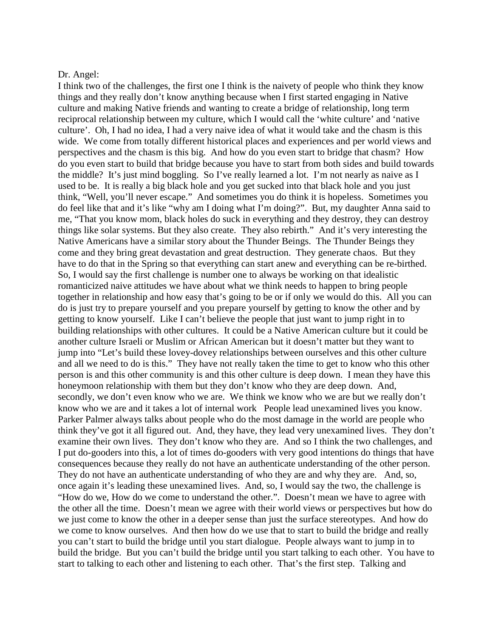#### Dr. Angel:

I think two of the challenges, the first one I think is the naivety of people who think they know things and they really don't know anything because when I first started engaging in Native culture and making Native friends and wanting to create a bridge of relationship, long term reciprocal relationship between my culture, which I would call the 'white culture' and 'native culture'. Oh, I had no idea, I had a very naive idea of what it would take and the chasm is this wide. We come from totally different historical places and experiences and per world views and perspectives and the chasm is this big. And how do you even start to bridge that chasm? How do you even start to build that bridge because you have to start from both sides and build towards the middle? It's just mind boggling. So I've really learned a lot. I'm not nearly as naive as I used to be. It is really a big black hole and you get sucked into that black hole and you just think, "Well, you'll never escape." And sometimes you do think it is hopeless. Sometimes you do feel like that and it's like "why am I doing what I'm doing?". But, my daughter Anna said to me, "That you know mom, black holes do suck in everything and they destroy, they can destroy things like solar systems. But they also create. They also rebirth." And it's very interesting the Native Americans have a similar story about the Thunder Beings. The Thunder Beings they come and they bring great devastation and great destruction. They generate chaos. But they have to do that in the Spring so that everything can start anew and everything can be re-birthed. So, I would say the first challenge is number one to always be working on that idealistic romanticized naive attitudes we have about what we think needs to happen to bring people together in relationship and how easy that's going to be or if only we would do this. All you can do is just try to prepare yourself and you prepare yourself by getting to know the other and by getting to know yourself. Like I can't believe the people that just want to jump right in to building relationships with other cultures. It could be a Native American culture but it could be another culture Israeli or Muslim or African American but it doesn't matter but they want to jump into "Let's build these lovey-dovey relationships between ourselves and this other culture and all we need to do is this." They have not really taken the time to get to know who this other person is and this other community is and this other culture is deep down. I mean they have this honeymoon relationship with them but they don't know who they are deep down. And, secondly, we don't even know who we are. We think we know who we are but we really don't know who we are and it takes a lot of internal work People lead unexamined lives you know. Parker Palmer always talks about people who do the most damage in the world are people who think they've got it all figured out. And, they have, they lead very unexamined lives. They don't examine their own lives. They don't know who they are. And so I think the two challenges, and I put do-gooders into this, a lot of times do-gooders with very good intentions do things that have consequences because they really do not have an authenticate understanding of the other person. They do not have an authenticate understanding of who they are and why they are. And, so, once again it's leading these unexamined lives. And, so, I would say the two, the challenge is "How do we, How do we come to understand the other.". Doesn't mean we have to agree with the other all the time. Doesn't mean we agree with their world views or perspectives but how do we just come to know the other in a deeper sense than just the surface stereotypes. And how do we come to know ourselves. And then how do we use that to start to build the bridge and really you can't start to build the bridge until you start dialogue. People always want to jump in to build the bridge. But you can't build the bridge until you start talking to each other. You have to start to talking to each other and listening to each other. That's the first step. Talking and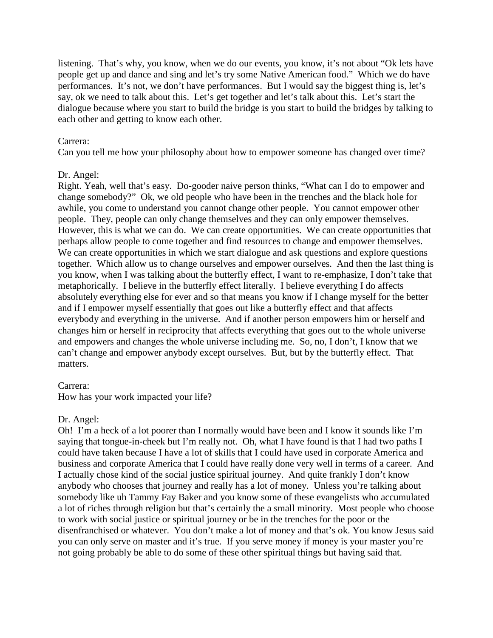listening. That's why, you know, when we do our events, you know, it's not about "Ok lets have people get up and dance and sing and let's try some Native American food." Which we do have performances. It's not, we don't have performances. But I would say the biggest thing is, let's say, ok we need to talk about this. Let's get together and let's talk about this. Let's start the dialogue because where you start to build the bridge is you start to build the bridges by talking to each other and getting to know each other.

### Carrera:

Can you tell me how your philosophy about how to empower someone has changed over time?

# Dr. Angel:

Right. Yeah, well that's easy. Do-gooder naive person thinks, "What can I do to empower and change somebody?" Ok, we old people who have been in the trenches and the black hole for awhile, you come to understand you cannot change other people. You cannot empower other people. They, people can only change themselves and they can only empower themselves. However, this is what we can do. We can create opportunities. We can create opportunities that perhaps allow people to come together and find resources to change and empower themselves. We can create opportunities in which we start dialogue and ask questions and explore questions together. Which allow us to change ourselves and empower ourselves. And then the last thing is you know, when I was talking about the butterfly effect, I want to re-emphasize, I don't take that metaphorically. I believe in the butterfly effect literally. I believe everything I do affects absolutely everything else for ever and so that means you know if I change myself for the better and if I empower myself essentially that goes out like a butterfly effect and that affects everybody and everything in the universe. And if another person empowers him or herself and changes him or herself in reciprocity that affects everything that goes out to the whole universe and empowers and changes the whole universe including me. So, no, I don't, I know that we can't change and empower anybody except ourselves. But, but by the butterfly effect. That matters.

# Carrera:

How has your work impacted your life?

# Dr. Angel:

Oh! I'm a heck of a lot poorer than I normally would have been and I know it sounds like I'm saying that tongue-in-cheek but I'm really not. Oh, what I have found is that I had two paths I could have taken because I have a lot of skills that I could have used in corporate America and business and corporate America that I could have really done very well in terms of a career. And I actually chose kind of the social justice spiritual journey. And quite frankly I don't know anybody who chooses that journey and really has a lot of money. Unless you're talking about somebody like uh Tammy Fay Baker and you know some of these evangelists who accumulated a lot of riches through religion but that's certainly the a small minority. Most people who choose to work with social justice or spiritual journey or be in the trenches for the poor or the disenfranchised or whatever. You don't make a lot of money and that's ok. You know Jesus said you can only serve on master and it's true. If you serve money if money is your master you're not going probably be able to do some of these other spiritual things but having said that.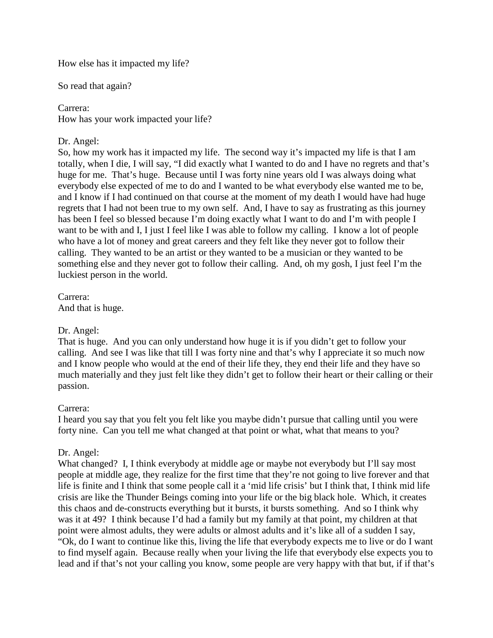How else has it impacted my life?

So read that again?

### Carrera:

How has your work impacted your life?

# Dr. Angel:

So, how my work has it impacted my life. The second way it's impacted my life is that I am totally, when I die, I will say, "I did exactly what I wanted to do and I have no regrets and that's huge for me. That's huge. Because until I was forty nine years old I was always doing what everybody else expected of me to do and I wanted to be what everybody else wanted me to be, and I know if I had continued on that course at the moment of my death I would have had huge regrets that I had not been true to my own self. And, I have to say as frustrating as this journey has been I feel so blessed because I'm doing exactly what I want to do and I'm with people I want to be with and I, I just I feel like I was able to follow my calling. I know a lot of people who have a lot of money and great careers and they felt like they never got to follow their calling. They wanted to be an artist or they wanted to be a musician or they wanted to be something else and they never got to follow their calling. And, oh my gosh, I just feel I'm the luckiest person in the world.

Carrera: And that is huge.

# Dr. Angel:

That is huge. And you can only understand how huge it is if you didn't get to follow your calling. And see I was like that till I was forty nine and that's why I appreciate it so much now and I know people who would at the end of their life they, they end their life and they have so much materially and they just felt like they didn't get to follow their heart or their calling or their passion.

# Carrera:

I heard you say that you felt you felt like you maybe didn't pursue that calling until you were forty nine. Can you tell me what changed at that point or what, what that means to you?

# Dr. Angel:

What changed? I, I think everybody at middle age or maybe not everybody but I'll say most people at middle age, they realize for the first time that they're not going to live forever and that life is finite and I think that some people call it a 'mid life crisis' but I think that, I think mid life crisis are like the Thunder Beings coming into your life or the big black hole. Which, it creates this chaos and de-constructs everything but it bursts, it bursts something. And so I think why was it at 49? I think because I'd had a family but my family at that point, my children at that point were almost adults, they were adults or almost adults and it's like all of a sudden I say, "Ok, do I want to continue like this, living the life that everybody expects me to live or do I want to find myself again. Because really when your living the life that everybody else expects you to lead and if that's not your calling you know, some people are very happy with that but, if if that's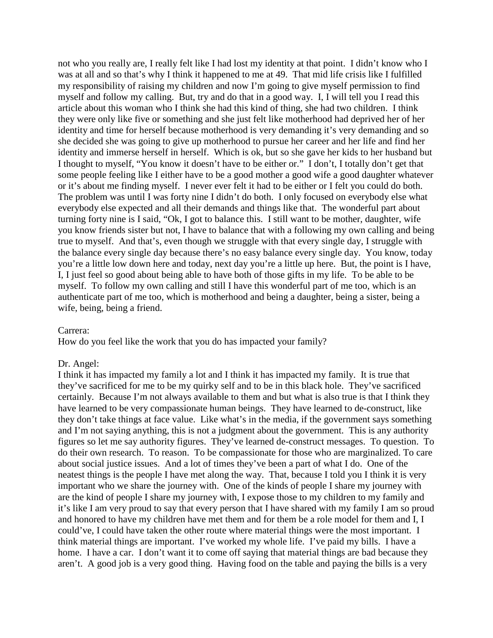not who you really are, I really felt like I had lost my identity at that point. I didn't know who I was at all and so that's why I think it happened to me at 49. That mid life crisis like I fulfilled my responsibility of raising my children and now I'm going to give myself permission to find myself and follow my calling. But, try and do that in a good way. I, I will tell you I read this article about this woman who I think she had this kind of thing, she had two children. I think they were only like five or something and she just felt like motherhood had deprived her of her identity and time for herself because motherhood is very demanding it's very demanding and so she decided she was going to give up motherhood to pursue her career and her life and find her identity and immerse herself in herself. Which is ok, but so she gave her kids to her husband but I thought to myself, "You know it doesn't have to be either or." I don't, I totally don't get that some people feeling like I either have to be a good mother a good wife a good daughter whatever or it's about me finding myself. I never ever felt it had to be either or I felt you could do both. The problem was until I was forty nine I didn't do both. I only focused on everybody else what everybody else expected and all their demands and things like that. The wonderful part about turning forty nine is I said, "Ok, I got to balance this. I still want to be mother, daughter, wife you know friends sister but not, I have to balance that with a following my own calling and being true to myself. And that's, even though we struggle with that every single day, I struggle with the balance every single day because there's no easy balance every single day. You know, today you're a little low down here and today, next day you're a little up here. But, the point is I have, I, I just feel so good about being able to have both of those gifts in my life. To be able to be myself. To follow my own calling and still I have this wonderful part of me too, which is an authenticate part of me too, which is motherhood and being a daughter, being a sister, being a wife, being, being a friend.

#### Carrera:

How do you feel like the work that you do has impacted your family?

#### Dr. Angel:

I think it has impacted my family a lot and I think it has impacted my family. It is true that they've sacrificed for me to be my quirky self and to be in this black hole. They've sacrificed certainly. Because I'm not always available to them and but what is also true is that I think they have learned to be very compassionate human beings. They have learned to de-construct, like they don't take things at face value. Like what's in the media, if the government says something and I'm not saying anything, this is not a judgment about the government. This is any authority figures so let me say authority figures. They've learned de-construct messages. To question. To do their own research. To reason. To be compassionate for those who are marginalized. To care about social justice issues. And a lot of times they've been a part of what I do. One of the neatest things is the people I have met along the way. That, because I told you I think it is very important who we share the journey with. One of the kinds of people I share my journey with are the kind of people I share my journey with, I expose those to my children to my family and it's like I am very proud to say that every person that I have shared with my family I am so proud and honored to have my children have met them and for them be a role model for them and I, I could've, I could have taken the other route where material things were the most important. I think material things are important. I've worked my whole life. I've paid my bills. I have a home. I have a car. I don't want it to come off saying that material things are bad because they aren't. A good job is a very good thing. Having food on the table and paying the bills is a very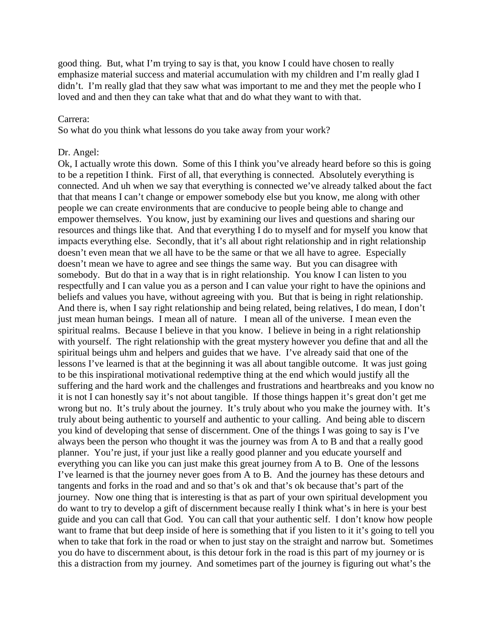good thing. But, what I'm trying to say is that, you know I could have chosen to really emphasize material success and material accumulation with my children and I'm really glad I didn't. I'm really glad that they saw what was important to me and they met the people who I loved and and then they can take what that and do what they want to with that.

### Carrera:

So what do you think what lessons do you take away from your work?

#### Dr. Angel:

Ok, I actually wrote this down. Some of this I think you've already heard before so this is going to be a repetition I think. First of all, that everything is connected. Absolutely everything is connected. And uh when we say that everything is connected we've already talked about the fact that that means I can't change or empower somebody else but you know, me along with other people we can create environments that are conducive to people being able to change and empower themselves. You know, just by examining our lives and questions and sharing our resources and things like that. And that everything I do to myself and for myself you know that impacts everything else. Secondly, that it's all about right relationship and in right relationship doesn't even mean that we all have to be the same or that we all have to agree. Especially doesn't mean we have to agree and see things the same way. But you can disagree with somebody. But do that in a way that is in right relationship. You know I can listen to you respectfully and I can value you as a person and I can value your right to have the opinions and beliefs and values you have, without agreeing with you. But that is being in right relationship. And there is, when I say right relationship and being related, being relatives, I do mean, I don't just mean human beings. I mean all of nature. I mean all of the universe. I mean even the spiritual realms. Because I believe in that you know. I believe in being in a right relationship with yourself. The right relationship with the great mystery however you define that and all the spiritual beings uhm and helpers and guides that we have. I've already said that one of the lessons I've learned is that at the beginning it was all about tangible outcome. It was just going to be this inspirational motivational redemptive thing at the end which would justify all the suffering and the hard work and the challenges and frustrations and heartbreaks and you know no it is not I can honestly say it's not about tangible. If those things happen it's great don't get me wrong but no. It's truly about the journey. It's truly about who you make the journey with. It's truly about being authentic to yourself and authentic to your calling. And being able to discern you kind of developing that sense of discernment. One of the things I was going to say is I've always been the person who thought it was the journey was from A to B and that a really good planner. You're just, if your just like a really good planner and you educate yourself and everything you can like you can just make this great journey from A to B. One of the lessons I've learned is that the journey never goes from A to B. And the journey has these detours and tangents and forks in the road and and so that's ok and that's ok because that's part of the journey. Now one thing that is interesting is that as part of your own spiritual development you do want to try to develop a gift of discernment because really I think what's in here is your best guide and you can call that God. You can call that your authentic self. I don't know how people want to frame that but deep inside of here is something that if you listen to it it's going to tell you when to take that fork in the road or when to just stay on the straight and narrow but. Sometimes you do have to discernment about, is this detour fork in the road is this part of my journey or is this a distraction from my journey. And sometimes part of the journey is figuring out what's the